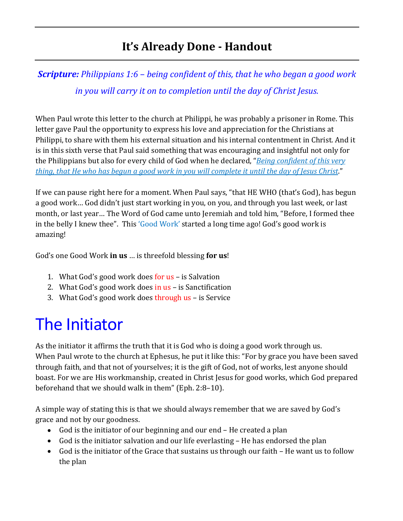### **It's Already Done - Handout**

*Scripture: Philippians 1:6 – being confident of this, that he who began a good work in you will carry it on to completion until the day of Christ Jesus.*

When Paul wrote this letter to the church at Philippi, he was probably a prisoner in Rome. This letter gave Paul the opportunity to express his love and appreciation for the Christians at Philippi, to share with them his external situation and his internal contentment in Christ. And it is in this sixth verse that Paul said something that was encouraging and insightful not only for the Philippians but also for every child of God when he declared, "*Being confident of this very thing, that He who has begun a good work in you will complete it until the day of Jesus Christ*."

If we can pause right here for a moment. When Paul says, "that HE WHO (that's God), has begun a good work… God didn't just start working in you, on you, and through you last week, or last month, or last year… The Word of God came unto Jeremiah and told him, "Before, I formed thee in the belly I knew thee". This 'Good Work' started a long time ago! God's good work is amazing!

God's one Good Work **in us** … is threefold blessing **for us**!

- 1. What God's good work does for us is Salvation
- 2. What God's good work does in us is Sanctification
- 3. What God's good work does through us is Service

## The Initiator

As the initiator it affirms the truth that it is God who is doing a good work through us. When Paul wrote to the church at Ephesus, he put it like this: "For by grace you have been saved through faith, and that not of yourselves; it is the gift of God, not of works, lest anyone should boast. For we are His workmanship, created in Christ Jesus for good works, which God prepared beforehand that we should walk in them" (Eph. 2:8–10).

A simple way of stating this is that we should always remember that we are saved by God's grace and not by our goodness.

- God is the initiator of our beginning and our end He created a plan
- God is the initiator salvation and our life everlasting He has endorsed the plan
- God is the initiator of the Grace that sustains us through our faith He want us to follow the plan